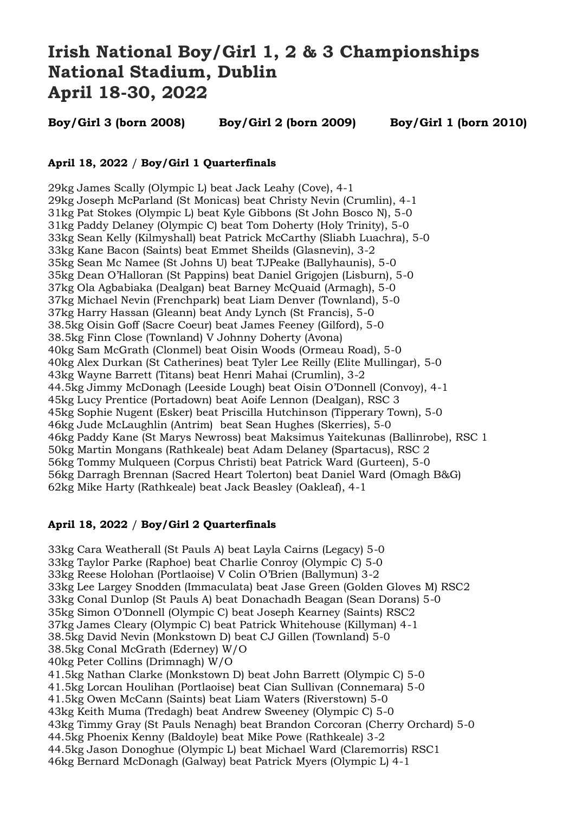# **Irish National Boy/Girl 1, 2 & 3 Championships National Stadium, Dublin April 18-30, 2022**

**Boy/Girl 3 (born 2008) Boy/Girl 2 (born 2009) Boy/Girl 1 (born 2010)**

## **April 18, 2022** / **Boy/Girl 1 Quarterfinals**

29kg James Scally (Olympic L) beat Jack Leahy (Cove), 4-1 29kg Joseph McParland (St Monicas) beat Christy Nevin (Crumlin), 4-1 31kg Pat Stokes (Olympic L) beat Kyle Gibbons (St John Bosco N), 5-0 31kg Paddy Delaney (Olympic C) beat Tom Doherty (Holy Trinity), 5-0 33kg Sean Kelly (Kilmyshall) beat Patrick McCarthy (Sliabh Luachra), 5-0 33kg Kane Bacon (Saints) beat Emmet Sheilds (Glasnevin), 3-2 35kg Sean Mc Namee (St Johns U) beat TJPeake (Ballyhaunis), 5-0 35kg Dean O'Halloran (St Pappins) beat Daniel Grigojen (Lisburn), 5-0 37kg Ola Agbabiaka (Dealgan) beat Barney McQuaid (Armagh), 5-0 37kg Michael Nevin (Frenchpark) beat Liam Denver (Townland), 5-0 37kg Harry Hassan (Gleann) beat Andy Lynch (St Francis), 5-0 38.5kg Oisin Goff (Sacre Coeur) beat James Feeney (Gilford), 5-0 38.5kg Finn Close (Townland) V Johnny Doherty (Avona) 40kg Sam McGrath (Clonmel) beat Oisin Woods (Ormeau Road), 5-0 40kg Alex Durkan (St Catherines) beat Tyler Lee Reilly (Elite Mullingar), 5-0 43kg Wayne Barrett (Titans) beat Henri Mahai (Crumlin), 3-2 44.5kg Jimmy McDonagh (Leeside Lough) beat Oisin O'Donnell (Convoy), 4-1 45kg Lucy Prentice (Portadown) beat Aoife Lennon (Dealgan), RSC 3 45kg Sophie Nugent (Esker) beat Priscilla Hutchinson (Tipperary Town), 5-0 46kg Jude McLaughlin (Antrim) beat Sean Hughes (Skerries), 5-0 46kg Paddy Kane (St Marys Newross) beat Maksimus Yaitekunas (Ballinrobe), RSC 1 50kg Martin Mongans (Rathkeale) beat Adam Delaney (Spartacus), RSC 2 56kg Tommy Mulqueen (Corpus Christi) beat Patrick Ward (Gurteen), 5-0 56kg Darragh Brennan (Sacred Heart Tolerton) beat Daniel Ward (Omagh B&G) 62kg Mike Harty (Rathkeale) beat Jack Beasley (Oakleaf), 4-1

#### **April 18, 2022** / **Boy/Girl 2 Quarterfinals**

33kg Cara Weatherall (St Pauls A) beat Layla Cairns (Legacy) 5-0 33kg Taylor Parke (Raphoe) beat Charlie Conroy (Olympic C) 5-0 33kg Reese Holohan (Portlaoise) V Colin O'Brien (Ballymun) 3-2 33kg Lee Largey Snodden (Immaculata) beat Jase Green (Golden Gloves M) RSC2 33kg Conal Dunlop (St Pauls A) beat Donachadh Beagan (Sean Dorans) 5-0 35kg Simon O'Donnell (Olympic C) beat Joseph Kearney (Saints) RSC2 37kg James Cleary (Olympic C) beat Patrick Whitehouse (Killyman) 4-1 38.5kg David Nevin (Monkstown D) beat CJ Gillen (Townland) 5-0 38.5kg Conal McGrath (Ederney) W/O 40kg Peter Collins (Drimnagh) W/O 41.5kg Nathan Clarke (Monkstown D) beat John Barrett (Olympic C) 5-0 41.5kg Lorcan Houlihan (Portlaoise) beat Cian Sullivan (Connemara) 5-0 41.5kg Owen McCann (Saints) beat Liam Waters (Riverstown) 5-0 43kg Keith Muma (Tredagh) beat Andrew Sweeney (Olympic C) 5-0 43kg Timmy Gray (St Pauls Nenagh) beat Brandon Corcoran (Cherry Orchard) 5-0 44.5kg Phoenix Kenny (Baldoyle) beat Mike Powe (Rathkeale) 3-2 44.5kg Jason Donoghue (Olympic L) beat Michael Ward (Claremorris) RSC1 46kg Bernard McDonagh (Galway) beat Patrick Myers (Olympic L) 4-1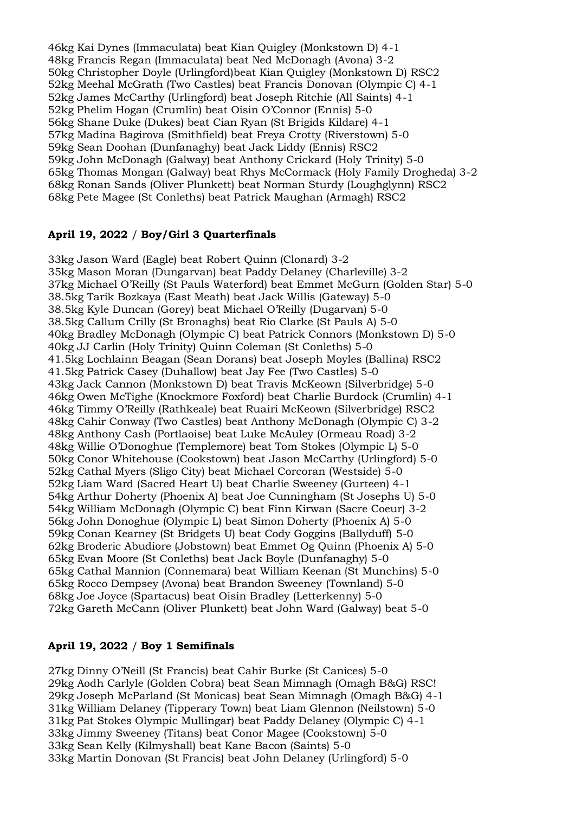46kg Kai Dynes (Immaculata) beat Kian Quigley (Monkstown D) 4-1 48kg Francis Regan (Immaculata) beat Ned McDonagh (Avona) 3-2 50kg Christopher Doyle (Urlingford)beat Kian Quigley (Monkstown D) RSC2 52kg Meehal McGrath (Two Castles) beat Francis Donovan (Olympic C) 4-1 52kg James McCarthy (Urlingford) beat Joseph Ritchie (All Saints) 4-1 52kg Phelim Hogan (Crumlin) beat Oisin O'Connor (Ennis) 5-0 56kg Shane Duke (Dukes) beat Cian Ryan (St Brigids Kildare) 4-1 57kg Madina Bagirova (Smithfield) beat Freya Crotty (Riverstown) 5-0 59kg Sean Doohan (Dunfanaghy) beat Jack Liddy (Ennis) RSC2 59kg John McDonagh (Galway) beat Anthony Crickard (Holy Trinity) 5-0 65kg Thomas Mongan (Galway) beat Rhys McCormack (Holy Family Drogheda) 3-2 68kg Ronan Sands (Oliver Plunkett) beat Norman Sturdy (Loughglynn) RSC2 68kg Pete Magee (St Conleths) beat Patrick Maughan (Armagh) RSC2

## **April 19, 2022** / **Boy/Girl 3 Quarterfinals**

33kg Jason Ward (Eagle) beat Robert Quinn (Clonard) 3-2 35kg Mason Moran (Dungarvan) beat Paddy Delaney (Charleville) 3-2 37kg Michael O'Reilly (St Pauls Waterford) beat Emmet McGurn (Golden Star) 5-0 38.5kg Tarik Bozkaya (East Meath) beat Jack Willis (Gateway) 5-0 38.5kg Kyle Duncan (Gorey) beat Michael O'Reilly (Dugarvan) 5-0 38.5kg Callum Crilly (St Bronaghs) beat Rio Clarke (St Pauls A) 5-0 40kg Bradley McDonagh (Olympic C) beat Patrick Connors (Monkstown D) 5-0 40kg JJ Carlin (Holy Trinity) Quinn Coleman (St Conleths) 5-0 41.5kg Lochlainn Beagan (Sean Dorans) beat Joseph Moyles (Ballina) RSC2 41.5kg Patrick Casey (Duhallow) beat Jay Fee (Two Castles) 5-0 43kg Jack Cannon (Monkstown D) beat Travis McKeown (Silverbridge) 5-0 46kg Owen McTighe (Knockmore Foxford) beat Charlie Burdock (Crumlin) 4-1 46kg Timmy O'Reilly (Rathkeale) beat Ruairi McKeown (Silverbridge) RSC2 48kg Cahir Conway (Two Castles) beat Anthony McDonagh (Olympic C) 3-2 48kg Anthony Cash (Portlaoise) beat Luke McAuley (Ormeau Road) 3-2 48kg Willie O'Donoghue (Templemore) beat Tom Stokes (Olympic L) 5-0 50kg Conor Whitehouse (Cookstown) beat Jason McCarthy (Urlingford) 5-0 52kg Cathal Myers (Sligo City) beat Michael Corcoran (Westside) 5-0 52kg Liam Ward (Sacred Heart U) beat Charlie Sweeney (Gurteen) 4-1 54kg Arthur Doherty (Phoenix A) beat Joe Cunningham (St Josephs U) 5-0 54kg William McDonagh (Olympic C) beat Finn Kirwan (Sacre Coeur) 3-2 56kg John Donoghue (Olympic L) beat Simon Doherty (Phoenix A) 5-0 59kg Conan Kearney (St Bridgets U) beat Cody Goggins (Ballyduff) 5-0 62kg Broderic Abudiore (Jobstown) beat Emmet Og Quinn (Phoenix A) 5-0 65kg Evan Moore (St Conleths) beat Jack Boyle (Dunfanaghy) 5-0 65kg Cathal Mannion (Connemara) beat William Keenan (St Munchins) 5-0 65kg Rocco Dempsey (Avona) beat Brandon Sweeney (Townland) 5-0 68kg Joe Joyce (Spartacus) beat Oisin Bradley (Letterkenny) 5-0 72kg Gareth McCann (Oliver Plunkett) beat John Ward (Galway) beat 5-0

## **April 19, 2022** / **Boy 1 Semifinals**

27kg Dinny O'Neill (St Francis) beat Cahir Burke (St Canices) 5-0 29kg Aodh Carlyle (Golden Cobra) beat Sean Mimnagh (Omagh B&G) RSC! 29kg Joseph McParland (St Monicas) beat Sean Mimnagh (Omagh B&G) 4-1 31kg William Delaney (Tipperary Town) beat Liam Glennon (Neilstown) 5-0 31kg Pat Stokes Olympic Mullingar) beat Paddy Delaney (Olympic C) 4-1 33kg Jimmy Sweeney (Titans) beat Conor Magee (Cookstown) 5-0 33kg Sean Kelly (Kilmyshall) beat Kane Bacon (Saints) 5-0 33kg Martin Donovan (St Francis) beat John Delaney (Urlingford) 5-0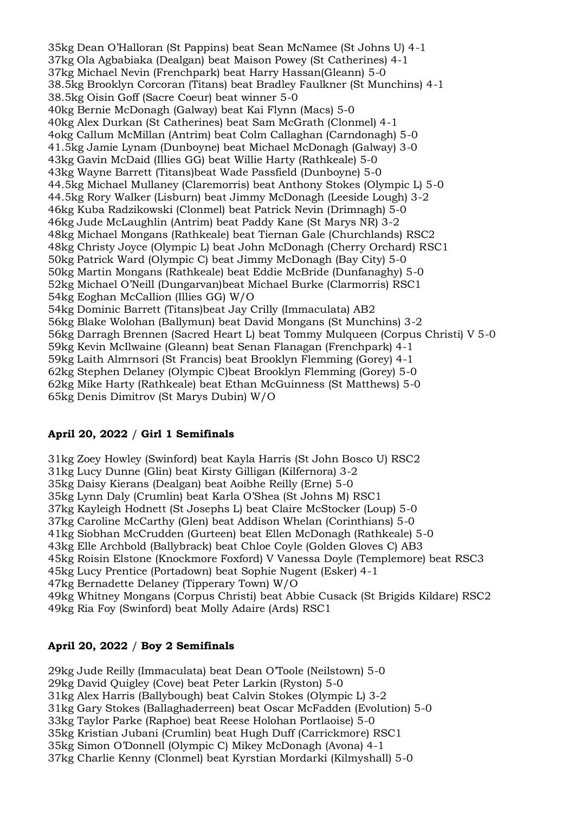35kg Dean O'Halloran (St Pappins) beat Sean McNamee (St Johns U) 4-1 37kg Ola Agbabiaka (Dealgan) beat Maison Powey (St Catherines) 4-1 37kg Michael Nevin (Frenchpark) beat Harry Hassan(Gleann) 5-0 38.5kg Brooklyn Corcoran (Titans) beat Bradley Faulkner (St Munchins) 4-1 38.5kg Oisin Goff (Sacre Coeur) beat winner 5-0 40kg Bernie McDonagh (Galway) beat Kai Flynn (Macs) 5-0 40kg Alex Durkan (St Catherines) beat Sam McGrath (Clonmel) 4-1 4okg Callum McMillan (Antrim) beat Colm Callaghan (Carndonagh) 5-0 41.5kg Jamie Lynam (Dunboyne) beat Michael McDonagh (Galway) 3-0 43kg Gavin McDaid (Illies GG) beat Willie Harty (Rathkeale) 5-0 43kg Wayne Barrett (Titans)beat Wade Passfield (Dunboyne) 5-0 44.5kg Michael Mullaney (Claremorris) beat Anthony Stokes (Olympic L) 5-0 44.5kg Rory Walker (Lisburn) beat Jimmy McDonagh (Leeside Lough) 3-2 46kg Kuba Radzikowski (Clonmel) beat Patrick Nevin (Drimnagh) 5-0 46kg Jude McLaughlin (Antrim) beat Paddy Kane (St Marys NR) 3-2 48kg Michael Mongans (Rathkeale) beat Tiernan Gale (Churchlands) RSC2 48kg Christy Joyce (Olympic L) beat John McDonagh (Cherry Orchard) RSC1 50kg Patrick Ward (Olympic C) beat Jimmy McDonagh (Bay City) 5-0 50kg Martin Mongans (Rathkeale) beat Eddie McBride (Dunfanaghy) 5-0 52kg Michael O'Neill (Dungarvan)beat Michael Burke (Clarmorris) RSC1 54kg Eoghan McCallion (Illies GG) W/O 54kg Dominic Barrett (Titans)beat Jay Crilly (Immaculata) AB2 56kg Blake Wolohan (Ballymun) beat David Mongans (St Munchins) 3-2 56kg Darragh Brennen (Sacred Heart L) beat Tommy Mulqueen (Corpus Christi) V 5-0 59kg Kevin McIlwaine (Gleann) beat Senan Flanagan (Frenchpark) 4-1 59kg Laith Almrnsori (St Francis) beat Brooklyn Flemming (Gorey) 4-1 62kg Stephen Delaney (Olympic C)beat Brooklyn Flemming (Gorey) 5-0 62kg Mike Harty (Rathkeale) beat Ethan McGuinness (St Matthews) 5-0 65kg Denis Dimitrov (St Marys Dubin) W/O

#### **April 20, 2022** / **Girl 1 Semifinals**

31kg Zoey Howley (Swinford) beat Kayla Harris (St John Bosco U) RSC2 31kg Lucy Dunne (Glin) beat Kirsty Gilligan (Kilfernora) 3-2 35kg Daisy Kierans (Dealgan) beat Aoibhe Reilly (Erne) 5-0 35kg Lynn Daly (Crumlin) beat Karla O'Shea (St Johns M) RSC1 37kg Kayleigh Hodnett (St Josephs L) beat Claire McStocker (Loup) 5-0 37kg Caroline McCarthy (Glen) beat Addison Whelan (Corinthians) 5-0 41kg Siobhan McCrudden (Gurteen) beat Ellen McDonagh (Rathkeale) 5-0 43kg Elle Archbold (Ballybrack) beat Chloe Coyle (Golden Gloves C) AB3 45kg Roisin Elstone (Knockmore Foxford) V Vanessa Doyle (Templemore) beat RSC3 45kg Lucy Prentice (Portadown) beat Sophie Nugent (Esker) 4-1 47kg Bernadette Delaney (Tipperary Town) W/O 49kg Whitney Mongans (Corpus Christi) beat Abbie Cusack (St Brigids Kildare) RSC2 49kg Ria Foy (Swinford) beat Molly Adaire (Ards) RSC1

## **April 20, 2022** / **Boy 2 Semifinals**

29kg Jude Reilly (Immaculata) beat Dean O'Toole (Neilstown) 5-0 29kg David Quigley (Cove) beat Peter Larkin (Ryston) 5-0 31kg Alex Harris (Ballybough) beat Calvin Stokes (Olympic L) 3-2 31kg Gary Stokes (Ballaghaderreen) beat Oscar McFadden (Evolution) 5-0 33kg Taylor Parke (Raphoe) beat Reese Holohan Portlaoise) 5-0 35kg Kristian Jubani (Crumlin) beat Hugh Duff (Carrickmore) RSC1 35kg Simon O'Donnell (Olympic C) Mikey McDonagh (Avona) 4-1 37kg Charlie Kenny (Clonmel) beat Kyrstian Mordarki (Kilmyshall) 5-0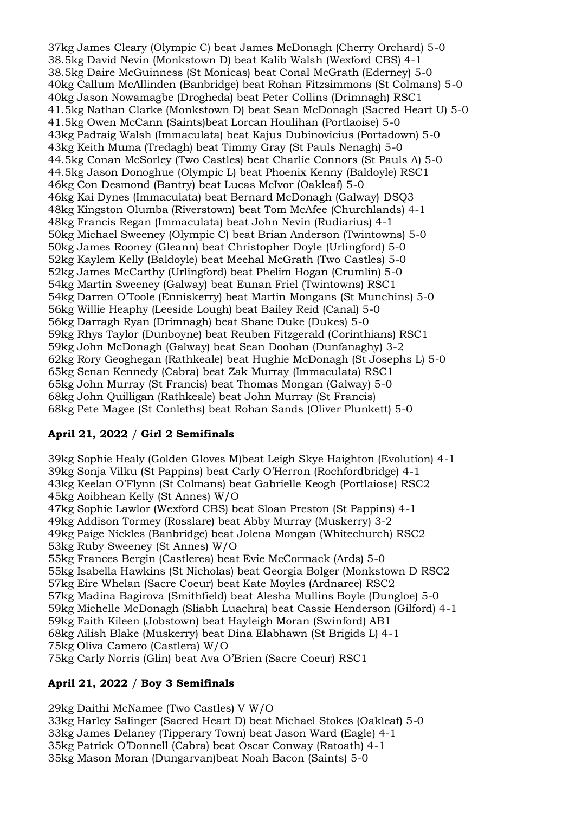37kg James Cleary (Olympic C) beat James McDonagh (Cherry Orchard) 5-0 38.5kg David Nevin (Monkstown D) beat Kalib Walsh (Wexford CBS) 4-1 38.5kg Daire McGuinness (St Monicas) beat Conal McGrath (Ederney) 5-0 40kg Callum McAllinden (Banbridge) beat Rohan Fitzsimmons (St Colmans) 5-0 40kg Jason Nowamagbe (Drogheda) beat Peter Collins (Drimnagh) RSC1 41.5kg Nathan Clarke (Monkstown D) beat Sean McDonagh (Sacred Heart U) 5-0 41.5kg Owen McCann (Saints)beat Lorcan Houlihan (Portlaoise) 5-0 43kg Padraig Walsh (Immaculata) beat Kajus Dubinovicius (Portadown) 5-0 43kg Keith Muma (Tredagh) beat Timmy Gray (St Pauls Nenagh) 5-0 44.5kg Conan McSorley (Two Castles) beat Charlie Connors (St Pauls A) 5-0 44.5kg Jason Donoghue (Olympic L) beat Phoenix Kenny (Baldoyle) RSC1 46kg Con Desmond (Bantry) beat Lucas McIvor (Oakleaf) 5-0 46kg Kai Dynes (Immaculata) beat Bernard McDonagh (Galway) DSQ3 48kg Kingston Olumba (Riverstown) beat Tom McAfee (Churchlands) 4-1 48kg Francis Regan (Immaculata) beat John Nevin (Rudiarius) 4-1 50kg Michael Sweeney (Olympic C) beat Brian Anderson (Twintowns) 5-0 50kg James Rooney (Gleann) beat Christopher Doyle (Urlingford) 5-0 52kg Kaylem Kelly (Baldoyle) beat Meehal McGrath (Two Castles) 5-0 52kg James McCarthy (Urlingford) beat Phelim Hogan (Crumlin) 5-0 54kg Martin Sweeney (Galway) beat Eunan Friel (Twintowns) RSC1 54kg Darren O'Toole (Enniskerry) beat Martin Mongans (St Munchins) 5-0 56kg Willie Heaphy (Leeside Lough) beat Bailey Reid (Canal) 5-0 56kg Darragh Ryan (Drimnagh) beat Shane Duke (Dukes) 5-0 59kg Rhys Taylor (Dunboyne) beat Reuben Fitzgerald (Corinthians) RSC1 59kg John McDonagh (Galway) beat Sean Doohan (Dunfanaghy) 3-2 62kg Rory Geoghegan (Rathkeale) beat Hughie McDonagh (St Josephs L) 5-0 65kg Senan Kennedy (Cabra) beat Zak Murray (Immaculata) RSC1 65kg John Murray (St Francis) beat Thomas Mongan (Galway) 5-0 68kg John Quilligan (Rathkeale) beat John Murray (St Francis) 68kg Pete Magee (St Conleths) beat Rohan Sands (Oliver Plunkett) 5-0

## **April 21, 2022** / **Girl 2 Semifinals**

39kg Sophie Healy (Golden Gloves M)beat Leigh Skye Haighton (Evolution) 4-1 39kg Sonja Vilku (St Pappins) beat Carly O'Herron (Rochfordbridge) 4-1 43kg Keelan O'Flynn (St Colmans) beat Gabrielle Keogh (Portlaiose) RSC2 45kg Aoibhean Kelly (St Annes) W/O 47kg Sophie Lawlor (Wexford CBS) beat Sloan Preston (St Pappins) 4-1 49kg Addison Tormey (Rosslare) beat Abby Murray (Muskerry) 3-2 49kg Paige Nickles (Banbridge) beat Jolena Mongan (Whitechurch) RSC2 53kg Ruby Sweeney (St Annes) W/O 55kg Frances Bergin (Castlerea) beat Evie McCormack (Ards) 5-0 55kg Isabella Hawkins (St Nicholas) beat Georgia Bolger (Monkstown D RSC2 57kg Eire Whelan (Sacre Coeur) beat Kate Moyles (Ardnaree) RSC2 57kg Madina Bagirova (Smithfield) beat Alesha Mullins Boyle (Dungloe) 5-0 59kg Michelle McDonagh (Sliabh Luachra) beat Cassie Henderson (Gilford) 4-1 59kg Faith Kileen (Jobstown) beat Hayleigh Moran (Swinford) AB1 68kg Ailish Blake (Muskerry) beat Dina Elabhawn (St Brigids L) 4-1 75kg Oliva Camero (Castlera) W/O 75kg Carly Norris (Glin) beat Ava O'Brien (Sacre Coeur) RSC1

## **April 21, 2022** / **Boy 3 Semifinals**

29kg Daithi McNamee (Two Castles) V W/O 33kg Harley Salinger (Sacred Heart D) beat Michael Stokes (Oakleaf) 5-0 33kg James Delaney (Tipperary Town) beat Jason Ward (Eagle) 4-1 35kg Patrick O'Donnell (Cabra) beat Oscar Conway (Ratoath) 4-1 35kg Mason Moran (Dungarvan)beat Noah Bacon (Saints) 5-0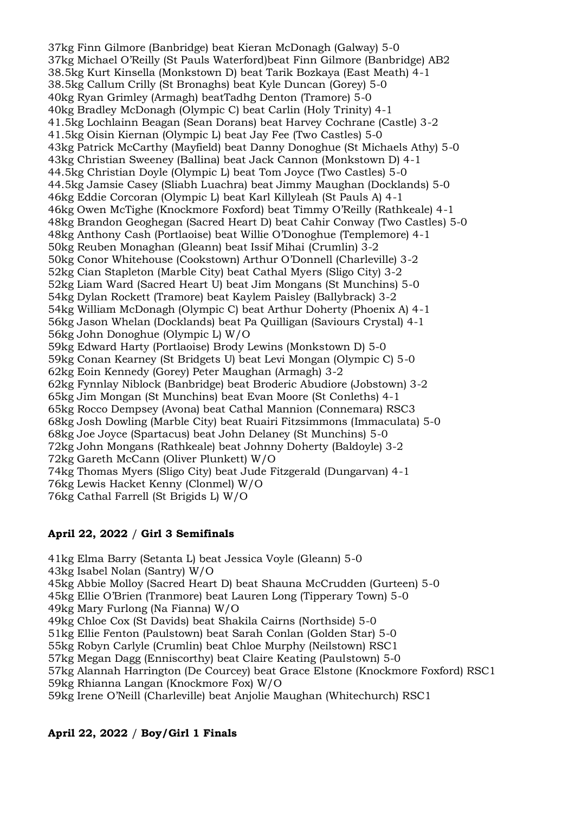37kg Finn Gilmore (Banbridge) beat Kieran McDonagh (Galway) 5-0 37kg Michael O'Reilly (St Pauls Waterford)beat Finn Gilmore (Banbridge) AB2 38.5kg Kurt Kinsella (Monkstown D) beat Tarik Bozkaya (East Meath) 4-1 38.5kg Callum Crilly (St Bronaghs) beat Kyle Duncan (Gorey) 5-0 40kg Ryan Grimley (Armagh) beatTadhg Denton (Tramore) 5-0 40kg Bradley McDonagh (Olympic C) beat Carlin (Holy Trinity) 4-1 41.5kg Lochlainn Beagan (Sean Dorans) beat Harvey Cochrane (Castle) 3-2 41.5kg Oisin Kiernan (Olympic L) beat Jay Fee (Two Castles) 5-0 43kg Patrick McCarthy (Mayfield) beat Danny Donoghue (St Michaels Athy) 5-0 43kg Christian Sweeney (Ballina) beat Jack Cannon (Monkstown D) 4-1 44.5kg Christian Doyle (Olympic L) beat Tom Joyce (Two Castles) 5-0 44.5kg Jamsie Casey (Sliabh Luachra) beat Jimmy Maughan (Docklands) 5-0 46kg Eddie Corcoran (Olympic L) beat Karl Killyleah (St Pauls A) 4-1 46kg Owen McTighe (Knockmore Foxford) beat Timmy O'Reilly (Rathkeale) 4-1 48kg Brandon Geoghegan (Sacred Heart D) beat Cahir Conway (Two Castles) 5-0 48kg Anthony Cash (Portlaoise) beat Willie O'Donoghue (Templemore) 4-1 50kg Reuben Monaghan (Gleann) beat Issif Mihai (Crumlin) 3-2 50kg Conor Whitehouse (Cookstown) Arthur O'Donnell (Charleville) 3-2 52kg Cian Stapleton (Marble City) beat Cathal Myers (Sligo City) 3-2 52kg Liam Ward (Sacred Heart U) beat Jim Mongans (St Munchins) 5-0 54kg Dylan Rockett (Tramore) beat Kaylem Paisley (Ballybrack) 3-2 54kg William McDonagh (Olympic C) beat Arthur Doherty (Phoenix A) 4-1 56kg Jason Whelan (Docklands) beat Pa Quilligan (Saviours Crystal) 4-1 56kg John Donoghue (Olympic L) W/O 59kg Edward Harty (Portlaoise) Brody Lewins (Monkstown D) 5-0 59kg Conan Kearney (St Bridgets U) beat Levi Mongan (Olympic C) 5-0 62kg Eoin Kennedy (Gorey) Peter Maughan (Armagh) 3-2 62kg Fynnlay Niblock (Banbridge) beat Broderic Abudiore (Jobstown) 3-2 65kg Jim Mongan (St Munchins) beat Evan Moore (St Conleths) 4-1 65kg Rocco Dempsey (Avona) beat Cathal Mannion (Connemara) RSC3 68kg Josh Dowling (Marble City) beat Ruairi Fitzsimmons (Immaculata) 5-0 68kg Joe Joyce (Spartacus) beat John Delaney (St Munchins) 5-0 72kg John Mongans (Rathkeale) beat Johnny Doherty (Baldoyle) 3-2 72kg Gareth McCann (Oliver Plunkett) W/O 74kg Thomas Myers (Sligo City) beat Jude Fitzgerald (Dungarvan) 4-1 76kg Lewis Hacket Kenny (Clonmel) W/O 76kg Cathal Farrell (St Brigids L) W/O

## **April 22, 2022** / **Girl 3 Semifinals**

41kg Elma Barry (Setanta L) beat Jessica Voyle (Gleann) 5-0

43kg Isabel Nolan (Santry) W/O

45kg Abbie Molloy (Sacred Heart D) beat Shauna McCrudden (Gurteen) 5-0

45kg Ellie O'Brien (Tranmore) beat Lauren Long (Tipperary Town) 5-0

49kg Mary Furlong (Na Fianna) W/O

49kg Chloe Cox (St Davids) beat Shakila Cairns (Northside) 5-0

51kg Ellie Fenton (Paulstown) beat Sarah Conlan (Golden Star) 5-0

55kg Robyn Carlyle (Crumlin) beat Chloe Murphy (Neilstown) RSC1

57kg Megan Dagg (Enniscorthy) beat Claire Keating (Paulstown) 5-0

57kg Alannah Harrington (De Courcey) beat Grace Elstone (Knockmore Foxford) RSC1 59kg Rhianna Langan (Knockmore Fox) W/O

59kg Irene O'Neill (Charleville) beat Anjolie Maughan (Whitechurch) RSC1

## **April 22, 2022** / **Boy/Girl 1 Finals**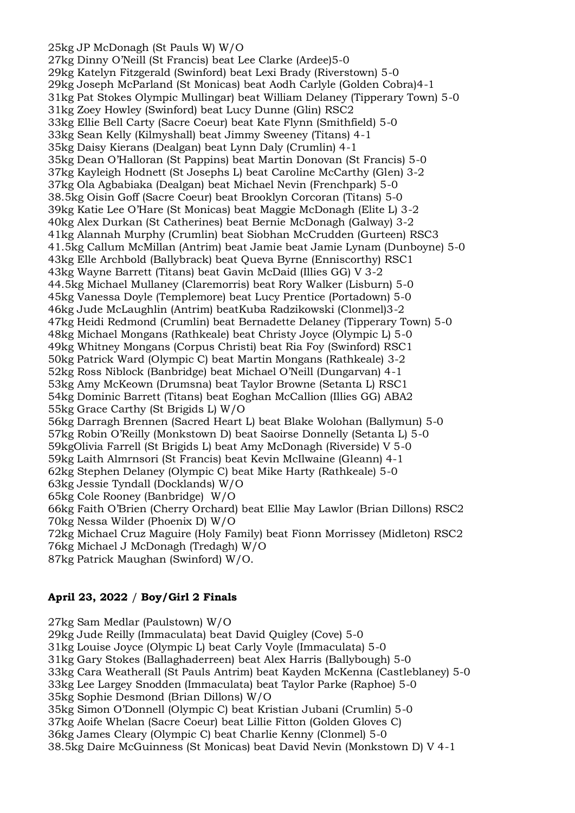25kg JP McDonagh (St Pauls W) W/O

27kg Dinny O'Neill (St Francis) beat Lee Clarke (Ardee)5-0 29kg Katelyn Fitzgerald (Swinford) beat Lexi Brady (Riverstown) 5-0 29kg Joseph McParland (St Monicas) beat Aodh Carlyle (Golden Cobra)4-1 31kg Pat Stokes Olympic Mullingar) beat William Delaney (Tipperary Town) 5-0 31kg Zoey Howley (Swinford) beat Lucy Dunne (Glin) RSC2 33kg Ellie Bell Carty (Sacre Coeur) beat Kate Flynn (Smithfield) 5-0 33kg Sean Kelly (Kilmyshall) beat Jimmy Sweeney (Titans) 4-1 35kg Daisy Kierans (Dealgan) beat Lynn Daly (Crumlin) 4-1 35kg Dean O'Halloran (St Pappins) beat Martin Donovan (St Francis) 5-0 37kg Kayleigh Hodnett (St Josephs L) beat Caroline McCarthy (Glen) 3-2 37kg Ola Agbabiaka (Dealgan) beat Michael Nevin (Frenchpark) 5-0 38.5kg Oisin Goff (Sacre Coeur) beat Brooklyn Corcoran (Titans) 5-0 39kg Katie Lee O'Hare (St Monicas) beat Maggie McDonagh (Elite L) 3-2 40kg Alex Durkan (St Catherines) beat Bernie McDonagh (Galway) 3-2 41kg Alannah Murphy (Crumlin) beat Siobhan McCrudden (Gurteen) RSC3 41.5kg Callum McMillan (Antrim) beat Jamie beat Jamie Lynam (Dunboyne) 5-0 43kg Elle Archbold (Ballybrack) beat Queva Byrne (Enniscorthy) RSC1 43kg Wayne Barrett (Titans) beat Gavin McDaid (Illies GG) V 3-2 44.5kg Michael Mullaney (Claremorris) beat Rory Walker (Lisburn) 5-0 45kg Vanessa Doyle (Templemore) beat Lucy Prentice (Portadown) 5-0 46kg Jude McLaughlin (Antrim) beatKuba Radzikowski (Clonmel)3-2 47kg Heidi Redmond (Crumlin) beat Bernadette Delaney (Tipperary Town) 5-0 48kg Michael Mongans (Rathkeale) beat Christy Joyce (Olympic L) 5-0 49kg Whitney Mongans (Corpus Christi) beat Ria Foy (Swinford) RSC1 50kg Patrick Ward (Olympic C) beat Martin Mongans (Rathkeale) 3-2 52kg Ross Niblock (Banbridge) beat Michael O'Neill (Dungarvan) 4-1 53kg Amy McKeown (Drumsna) beat Taylor Browne (Setanta L) RSC1 54kg Dominic Barrett (Titans) beat Eoghan McCallion (Illies GG) ABA2 55kg Grace Carthy (St Brigids L) W/O 56kg Darragh Brennen (Sacred Heart L) beat Blake Wolohan (Ballymun) 5-0 57kg Robin O'Reilly (Monkstown D) beat Saoirse Donnelly (Setanta L) 5-0 59kgOlivia Farrell (St Brigids L) beat Amy McDonagh (Riverside) V 5-0 59kg Laith Almrnsori (St Francis) beat Kevin McIlwaine (Gleann) 4-1 62kg Stephen Delaney (Olympic C) beat Mike Harty (Rathkeale) 5-0 63kg Jessie Tyndall (Docklands) W/O 65kg Cole Rooney (Banbridge) W/O 66kg Faith O'Brien (Cherry Orchard) beat Ellie May Lawlor (Brian Dillons) RSC2 70kg Nessa Wilder (Phoenix D) W/O 72kg Michael Cruz Maguire (Holy Family) beat Fionn Morrissey (Midleton) RSC2 76kg Michael J McDonagh (Tredagh) W/O

87kg Patrick Maughan (Swinford) W/O.

## **April 23, 2022** / **Boy/Girl 2 Finals**

27kg Sam Medlar (Paulstown) W/O 29kg Jude Reilly (Immaculata) beat David Quigley (Cove) 5-0 31kg Louise Joyce (Olympic L) beat Carly Voyle (Immaculata) 5-0 31kg Gary Stokes (Ballaghaderreen) beat Alex Harris (Ballybough) 5-0 33kg Cara Weatherall (St Pauls Antrim) beat Kayden McKenna (Castleblaney) 5-0 33kg Lee Largey Snodden (Immaculata) beat Taylor Parke (Raphoe) 5-0 35kg Sophie Desmond (Brian Dillons) W/O 35kg Simon O'Donnell (Olympic C) beat Kristian Jubani (Crumlin) 5-0 37kg Aoife Whelan (Sacre Coeur) beat Lillie Fitton (Golden Gloves C) 36kg James Cleary (Olympic C) beat Charlie Kenny (Clonmel) 5-0 38.5kg Daire McGuinness (St Monicas) beat David Nevin (Monkstown D) V 4-1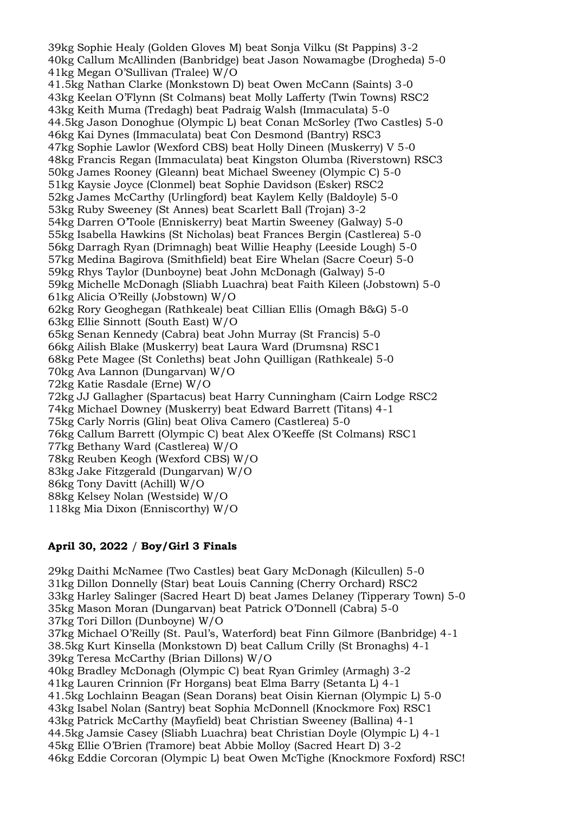39kg Sophie Healy (Golden Gloves M) beat Sonja Vilku (St Pappins) 3-2 40kg Callum McAllinden (Banbridge) beat Jason Nowamagbe (Drogheda) 5-0 41kg Megan O'Sullivan (Tralee) W/O 41.5kg Nathan Clarke (Monkstown D) beat Owen McCann (Saints) 3-0 43kg Keelan O'Flynn (St Colmans) beat Molly Lafferty (Twin Towns) RSC2 43kg Keith Muma (Tredagh) beat Padraig Walsh (Immaculata) 5-0 44.5kg Jason Donoghue (Olympic L) beat Conan McSorley (Two Castles) 5-0 46kg Kai Dynes (Immaculata) beat Con Desmond (Bantry) RSC3 47kg Sophie Lawlor (Wexford CBS) beat Holly Dineen (Muskerry) V 5-0 48kg Francis Regan (Immaculata) beat Kingston Olumba (Riverstown) RSC3 50kg James Rooney (Gleann) beat Michael Sweeney (Olympic C) 5-0 51kg Kaysie Joyce (Clonmel) beat Sophie Davidson (Esker) RSC2 52kg James McCarthy (Urlingford) beat Kaylem Kelly (Baldoyle) 5-0 53kg Ruby Sweeney (St Annes) beat Scarlett Ball (Trojan) 3-2 54kg Darren O'Toole (Enniskerry) beat Martin Sweeney (Galway) 5-0 55kg Isabella Hawkins (St Nicholas) beat Frances Bergin (Castlerea) 5-0 56kg Darragh Ryan (Drimnagh) beat Willie Heaphy (Leeside Lough) 5-0 57kg Medina Bagirova (Smithfield) beat Eire Whelan (Sacre Coeur) 5-0 59kg Rhys Taylor (Dunboyne) beat John McDonagh (Galway) 5-0 59kg Michelle McDonagh (Sliabh Luachra) beat Faith Kileen (Jobstown) 5-0 61kg Alicia O'Reilly (Jobstown) W/O 62kg Rory Geoghegan (Rathkeale) beat Cillian Ellis (Omagh B&G) 5-0 63kg Ellie Sinnott (South East) W/O 65kg Senan Kennedy (Cabra) beat John Murray (St Francis) 5-0 66kg Ailish Blake (Muskerry) beat Laura Ward (Drumsna) RSC1 68kg Pete Magee (St Conleths) beat John Quilligan (Rathkeale) 5-0 70kg Ava Lannon (Dungarvan) W/O 72kg Katie Rasdale (Erne) W/O 72kg JJ Gallagher (Spartacus) beat Harry Cunningham (Cairn Lodge RSC2 74kg Michael Downey (Muskerry) beat Edward Barrett (Titans) 4-1 75kg Carly Norris (Glin) beat Oliva Camero (Castlerea) 5-0 76kg Callum Barrett (Olympic C) beat Alex O'Keeffe (St Colmans) RSC1 77kg Bethany Ward (Castlerea) W/O 78kg Reuben Keogh (Wexford CBS) W/O 83kg Jake Fitzgerald (Dungarvan) W/O 86kg Tony Davitt (Achill) W/O 88kg Kelsey Nolan (Westside) W/O 118kg Mia Dixon (Enniscorthy) W/O

## **April 30, 2022** / **Boy/Girl 3 Finals**

29kg Daithi McNamee (Two Castles) beat Gary McDonagh (Kilcullen) 5-0 31kg Dillon Donnelly (Star) beat Louis Canning (Cherry Orchard) RSC2 33kg Harley Salinger (Sacred Heart D) beat James Delaney (Tipperary Town) 5-0 35kg Mason Moran (Dungarvan) beat Patrick O'Donnell (Cabra) 5-0 37kg Tori Dillon (Dunboyne) W/O 37kg Michael O'Reilly (St. Paul's, Waterford) beat Finn Gilmore (Banbridge) 4-1 38.5kg Kurt Kinsella (Monkstown D) beat Callum Crilly (St Bronaghs) 4-1 39kg Teresa McCarthy (Brian Dillons) W/O 40kg Bradley McDonagh (Olympic C) beat Ryan Grimley (Armagh) 3-2 41kg Lauren Crinnion (Fr Horgans) beat Elma Barry (Setanta L) 4-1 41.5kg Lochlainn Beagan (Sean Dorans) beat Oisin Kiernan (Olympic L) 5-0 43kg Isabel Nolan (Santry) beat Sophia McDonnell (Knockmore Fox) RSC1 43kg Patrick McCarthy (Mayfield) beat Christian Sweeney (Ballina) 4-1 44.5kg Jamsie Casey (Sliabh Luachra) beat Christian Doyle (Olympic L) 4-1 45kg Ellie O'Brien (Tramore) beat Abbie Molloy (Sacred Heart D) 3-2 46kg Eddie Corcoran (Olympic L) beat Owen McTighe (Knockmore Foxford) RSC!